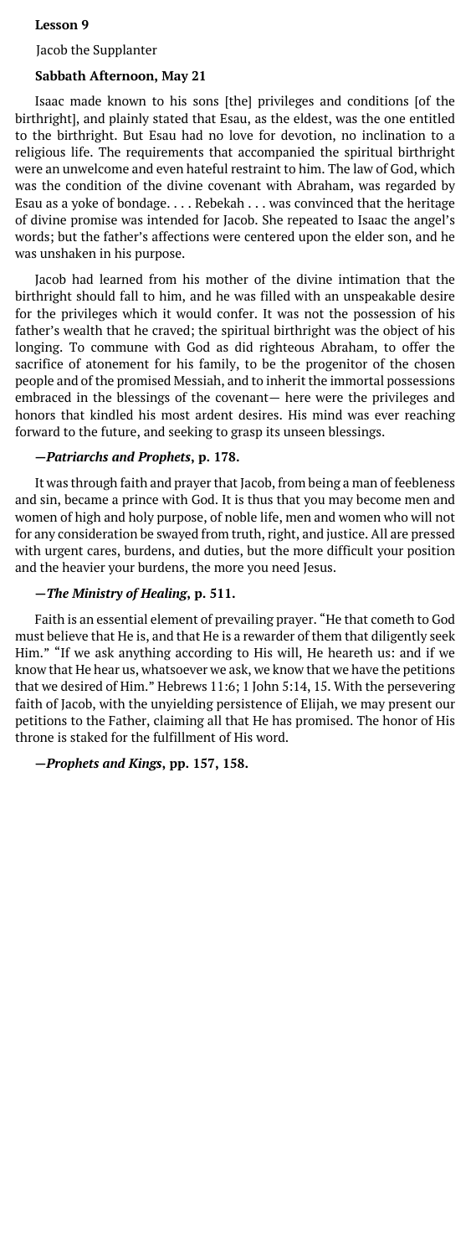#### **Lesson 9**

Jacob the Supplanter

# **Sabbath Afternoon, May 21**

Isaac made known to his sons [the] privileges and conditions [of the birthright], and plainly stated that Esau, as the eldest, was the one entitled to the birthright. But Esau had no love for devotion, no inclination to a religious life. The requirements that accompanied the spiritual birthright were an unwelcome and even hateful restraint to him. The law of God, which was the condition of the divine covenant with Abraham, was regarded by Esau as a yoke of bondage. . . . Rebekah . . . was convinced that the heritage of divine promise was intended for Jacob. She repeated to Isaac the angel's words; but the father's affections were centered upon the elder son, and he was unshaken in his purpose.

Jacob had learned from his mother of the divine intimation that the birthright should fall to him, and he was filled with an unspeakable desire for the privileges which it would confer. It was not the possession of his father's wealth that he craved; the spiritual birthright was the object of his longing. To commune with God as did righteous Abraham, to offer the sacrifice of atonement for his family, to be the progenitor of the chosen people and of the promised Messiah, and to inherit the immortal possessions embraced in the blessings of the covenant— here were the privileges and honors that kindled his most ardent desires. His mind was ever reaching forward to the future, and seeking to grasp its unseen blessings.

# **—***Patriarchs and Prophets***, p. 178.**

It was through faith and prayer that Jacob, from being a man of feebleness and sin, became a prince with God. It is thus that you may become men and women of high and holy purpose, of noble life, men and women who will not for any consideration be swayed from truth, right, and justice. All are pressed with urgent cares, burdens, and duties, but the more difficult your position and the heavier your burdens, the more you need Jesus.

# **—***The Ministry of Healing***, p. 511.**

Faith is an essential element of prevailing prayer. "He that cometh to God must believe that He is, and that He is a rewarder of them that diligently seek Him." "If we ask anything according to His will, He heareth us: and if we know that He hear us, whatsoever we ask, we know that we have the petitions that we desired of Him." Hebrews 11:6; 1 John 5:14, 15. With the persevering faith of Jacob, with the unyielding persistence of Elijah, we may present our petitions to the Father, claiming all that He has promised. The honor of His throne is staked for the fulfillment of His word.

**—***Prophets and Kings***, pp. 157, 158.**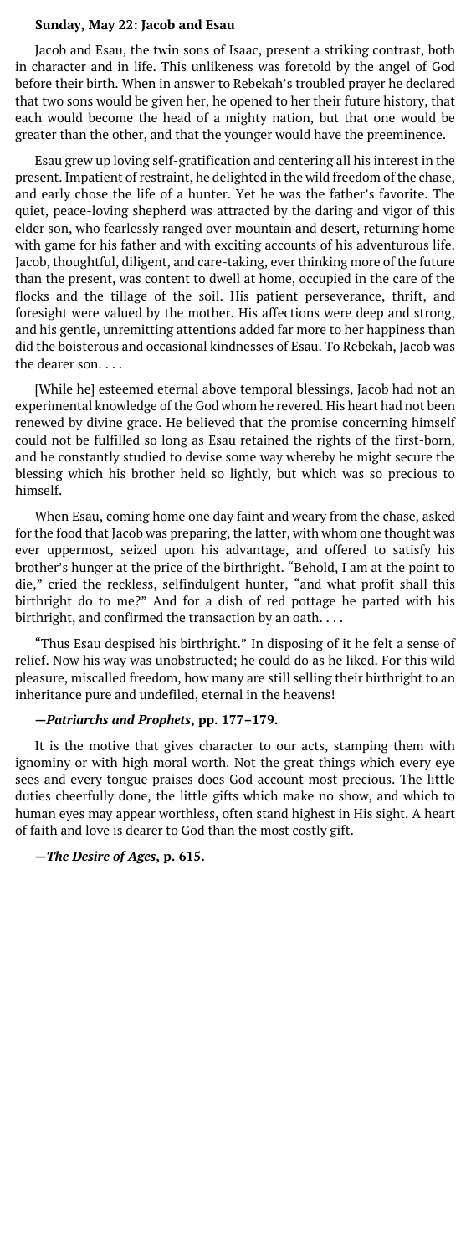#### **Sunday, May 22: Jacob and Esau**

Jacob and Esau, the twin sons of Isaac, present a striking contrast, both in character and in life. This unlikeness was foretold by the angel of God before their birth. When in answer to Rebekah's troubled prayer he declared that two sons would be given her, he opened to her their future history, that each would become the head of a mighty nation, but that one would be greater than the other, and that the younger would have the preeminence.

Esau grew up loving self-gratification and centering all his interest in the present. Impatient of restraint, he delighted in the wild freedom of the chase, and early chose the life of a hunter. Yet he was the father's favorite. The quiet, peace-loving shepherd was attracted by the daring and vigor of this elder son, who fearlessly ranged over mountain and desert, returning home with game for his father and with exciting accounts of his adventurous life. Jacob, thoughtful, diligent, and care-taking, ever thinking more of the future than the present, was content to dwell at home, occupied in the care of the flocks and the tillage of the soil. His patient perseverance, thrift, and foresight were valued by the mother. His affections were deep and strong, and his gentle, unremitting attentions added far more to her happiness than did the boisterous and occasional kindnesses of Esau. To Rebekah, Jacob was the dearer son. . . .

[While he] esteemed eternal above temporal blessings, Jacob had not an experimental knowledge of the God whom he revered. His heart had not been renewed by divine grace. He believed that the promise concerning himself could not be fulfilled so long as Esau retained the rights of the first-born, and he constantly studied to devise some way whereby he might secure the blessing which his brother held so lightly, but which was so precious to himself.

When Esau, coming home one day faint and weary from the chase, asked for the food that Jacob was preparing, the latter, with whom one thought was ever uppermost, seized upon his advantage, and offered to satisfy his brother's hunger at the price of the birthright. "Behold, I am at the point to die," cried the reckless, selfindulgent hunter, "and what profit shall this birthright do to me?" And for a dish of red pottage he parted with his birthright, and confirmed the transaction by an oath. . . .

"Thus Esau despised his birthright." In disposing of it he felt a sense of relief. Now his way was unobstructed; he could do as he liked. For this wild pleasure, miscalled freedom, how many are still selling their birthright to an inheritance pure and undefiled, eternal in the heavens!

#### **—***Patriarchs and Prophets***, pp. 177–179.**

It is the motive that gives character to our acts, stamping them with ignominy or with high moral worth. Not the great things which every eye sees and every tongue praises does God account most precious. The little duties cheerfully done, the little gifts which make no show, and which to human eyes may appear worthless, often stand highest in His sight. A heart of faith and love is dearer to God than the most costly gift.

#### **—***The Desire of Ages***, p. 615.**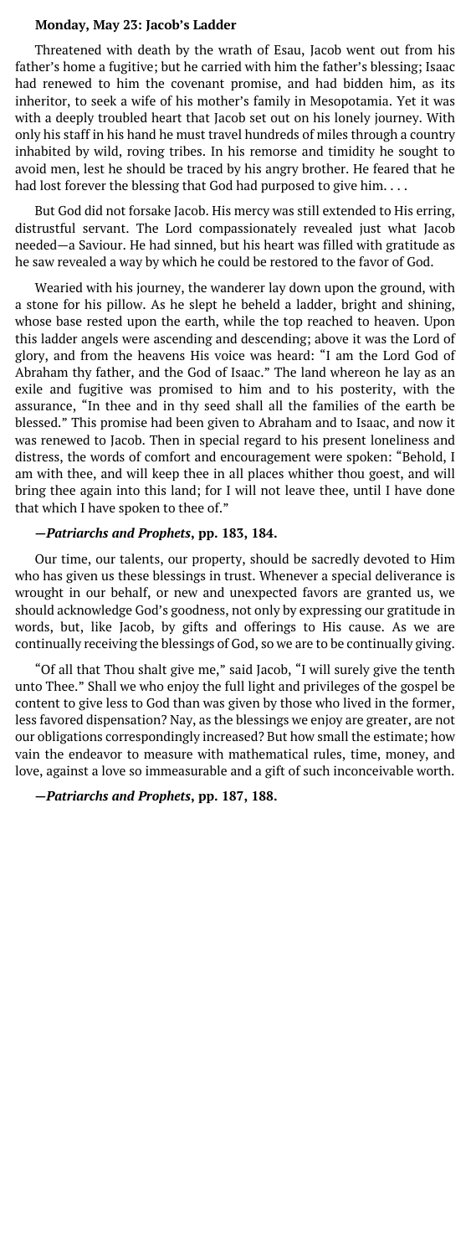#### **Monday, May 23: Jacob's Ladder**

Threatened with death by the wrath of Esau, Jacob went out from his father's home a fugitive; but he carried with him the father's blessing; Isaac had renewed to him the covenant promise, and had bidden him, as its inheritor, to seek a wife of his mother's family in Mesopotamia. Yet it was with a deeply troubled heart that Jacob set out on his lonely journey. With only his staff in his hand he must travel hundreds of miles through a country inhabited by wild, roving tribes. In his remorse and timidity he sought to avoid men, lest he should be traced by his angry brother. He feared that he had lost forever the blessing that God had purposed to give him. . . .

But God did not forsake Jacob. His mercy was still extended to His erring, distrustful servant. The Lord compassionately revealed just what Jacob needed—a Saviour. He had sinned, but his heart was filled with gratitude as he saw revealed a way by which he could be restored to the favor of God.

Wearied with his journey, the wanderer lay down upon the ground, with a stone for his pillow. As he slept he beheld a ladder, bright and shining, whose base rested upon the earth, while the top reached to heaven. Upon this ladder angels were ascending and descending; above it was the Lord of glory, and from the heavens His voice was heard: "I am the Lord God of Abraham thy father, and the God of Isaac." The land whereon he lay as an exile and fugitive was promised to him and to his posterity, with the assurance, "In thee and in thy seed shall all the families of the earth be blessed." This promise had been given to Abraham and to Isaac, and now it was renewed to Jacob. Then in special regard to his present loneliness and distress, the words of comfort and encouragement were spoken: "Behold, I am with thee, and will keep thee in all places whither thou goest, and will bring thee again into this land; for I will not leave thee, until I have done that which I have spoken to thee of."

#### **—***Patriarchs and Prophets***, pp. 183, 184.**

Our time, our talents, our property, should be sacredly devoted to Him who has given us these blessings in trust. Whenever a special deliverance is wrought in our behalf, or new and unexpected favors are granted us, we should acknowledge God's goodness, not only by expressing our gratitude in words, but, like Jacob, by gifts and offerings to His cause. As we are continually receiving the blessings of God, so we are to be continually giving.

"Of all that Thou shalt give me," said Jacob, "I will surely give the tenth unto Thee." Shall we who enjoy the full light and privileges of the gospel be content to give less to God than was given by those who lived in the former, less favored dispensation? Nay, as the blessings we enjoy are greater, are not our obligations correspondingly increased? But how small the estimate; how vain the endeavor to measure with mathematical rules, time, money, and love, against a love so immeasurable and a gift of such inconceivable worth.

#### **—***Patriarchs and Prophets***, pp. 187, 188.**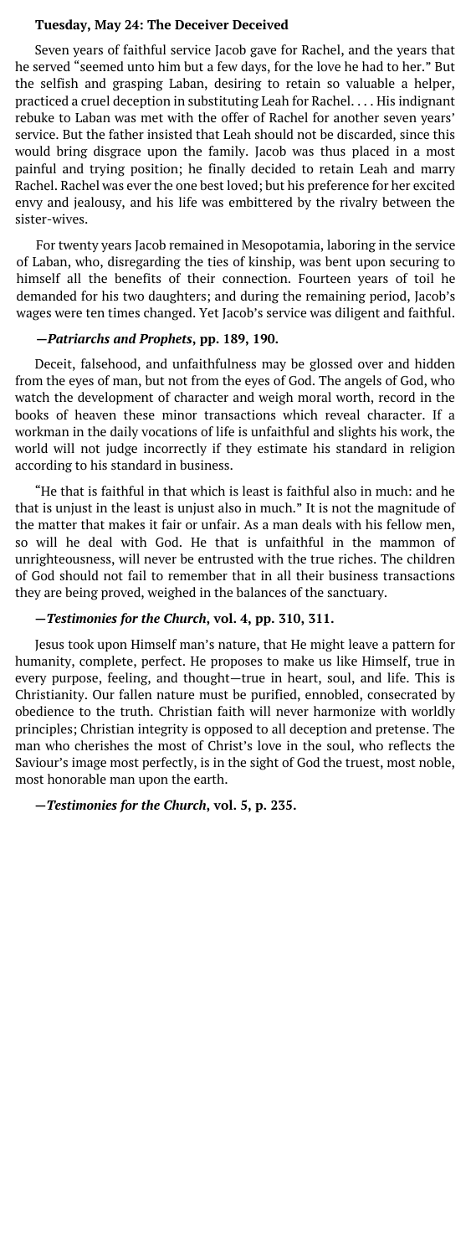#### **Tuesday, May 24: The Deceiver Deceived**

Seven years of faithful service Jacob gave for Rachel, and the years that he served "seemed unto him but a few days, for the love he had to her." But the selfish and grasping Laban, desiring to retain so valuable a helper, practiced a cruel deception in substituting Leah for Rachel. . . . His indignant rebuke to Laban was met with the offer of Rachel for another seven years' service. But the father insisted that Leah should not be discarded, since this would bring disgrace upon the family. Jacob was thus placed in a most painful and trying position; he finally decided to retain Leah and marry Rachel. Rachel was ever the one best loved; but his preference for her excited envy and jealousy, and his life was embittered by the rivalry between the sister-wives.

For twenty years Jacob remained in Mesopotamia, laboring in the service of Laban, who, disregarding the ties of kinship, was bent upon securing to himself all the benefits of their connection. Fourteen years of toil he demanded for his two daughters; and during the remaining period, Jacob's wages were ten times changed. Yet Jacob's service was diligent and faithful.

# **—***Patriarchs and Prophets***, pp. 189, 190.**

Deceit, falsehood, and unfaithfulness may be glossed over and hidden from the eyes of man, but not from the eyes of God. The angels of God, who watch the development of character and weigh moral worth, record in the books of heaven these minor transactions which reveal character. If a workman in the daily vocations of life is unfaithful and slights his work, the world will not judge incorrectly if they estimate his standard in religion according to his standard in business.

"He that is faithful in that which is least is faithful also in much: and he that is unjust in the least is unjust also in much." It is not the magnitude of the matter that makes it fair or unfair. As a man deals with his fellow men, so will he deal with God. He that is unfaithful in the mammon of unrighteousness, will never be entrusted with the true riches. The children of God should not fail to remember that in all their business transactions they are being proved, weighed in the balances of the sanctuary.

#### **—***Testimonies for the Church***, vol. 4, pp. 310, 311.**

Jesus took upon Himself man's nature, that He might leave a pattern for humanity, complete, perfect. He proposes to make us like Himself, true in every purpose, feeling, and thought—true in heart, soul, and life. This is Christianity. Our fallen nature must be purified, ennobled, consecrated by obedience to the truth. Christian faith will never harmonize with worldly principles; Christian integrity is opposed to all deception and pretense. The man who cherishes the most of Christ's love in the soul, who reflects the Saviour's image most perfectly, is in the sight of God the truest, most noble, most honorable man upon the earth.

**—***Testimonies for the Church***, vol. 5, p. 235.**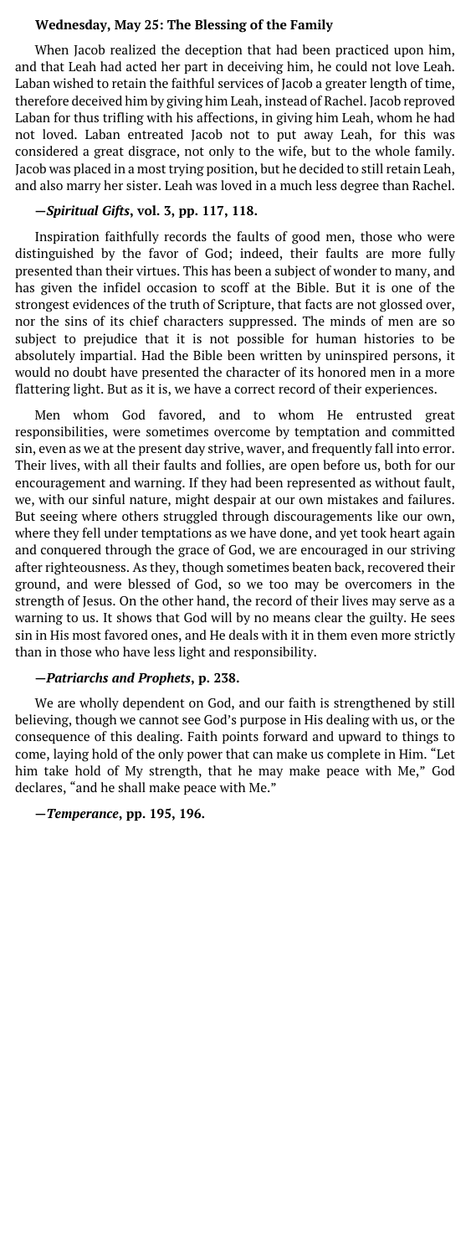## **Wednesday, May 25: The Blessing of the Family**

When Jacob realized the deception that had been practiced upon him, and that Leah had acted her part in deceiving him, he could not love Leah. Laban wished to retain the faithful services of Jacob a greater length of time, therefore deceived him by giving him Leah, instead of Rachel. Jacob reproved Laban for thus trifling with his affections, in giving him Leah, whom he had not loved. Laban entreated Jacob not to put away Leah, for this was considered a great disgrace, not only to the wife, but to the whole family. Jacob was placed in a most trying position, but he decided to still retain Leah, and also marry her sister. Leah was loved in a much less degree than Rachel.

# **—***Spiritual Gifts***, vol. 3, pp. 117, 118.**

Inspiration faithfully records the faults of good men, those who were distinguished by the favor of God; indeed, their faults are more fully presented than their virtues. This has been a subject of wonder to many, and has given the infidel occasion to scoff at the Bible. But it is one of the strongest evidences of the truth of Scripture, that facts are not glossed over, nor the sins of its chief characters suppressed. The minds of men are so subject to prejudice that it is not possible for human histories to be absolutely impartial. Had the Bible been written by uninspired persons, it would no doubt have presented the character of its honored men in a more flattering light. But as it is, we have a correct record of their experiences.

Men whom God favored, and to whom He entrusted great responsibilities, were sometimes overcome by temptation and committed sin, even as we at the present day strive, waver, and frequently fall into error. Their lives, with all their faults and follies, are open before us, both for our encouragement and warning. If they had been represented as without fault, we, with our sinful nature, might despair at our own mistakes and failures. But seeing where others struggled through discouragements like our own, where they fell under temptations as we have done, and yet took heart again and conquered through the grace of God, we are encouraged in our striving after righteousness. As they, though sometimes beaten back, recovered their ground, and were blessed of God, so we too may be overcomers in the strength of Jesus. On the other hand, the record of their lives may serve as a warning to us. It shows that God will by no means clear the guilty. He sees sin in His most favored ones, and He deals with it in them even more strictly than in those who have less light and responsibility.

# **—***Patriarchs and Prophets***, p. 238.**

We are wholly dependent on God, and our faith is strengthened by still believing, though we cannot see God's purpose in His dealing with us, or the consequence of this dealing. Faith points forward and upward to things to come, laying hold of the only power that can make us complete in Him. "Let him take hold of My strength, that he may make peace with Me," God declares, "and he shall make peace with Me."

**—***Temperance***, pp. 195, 196.**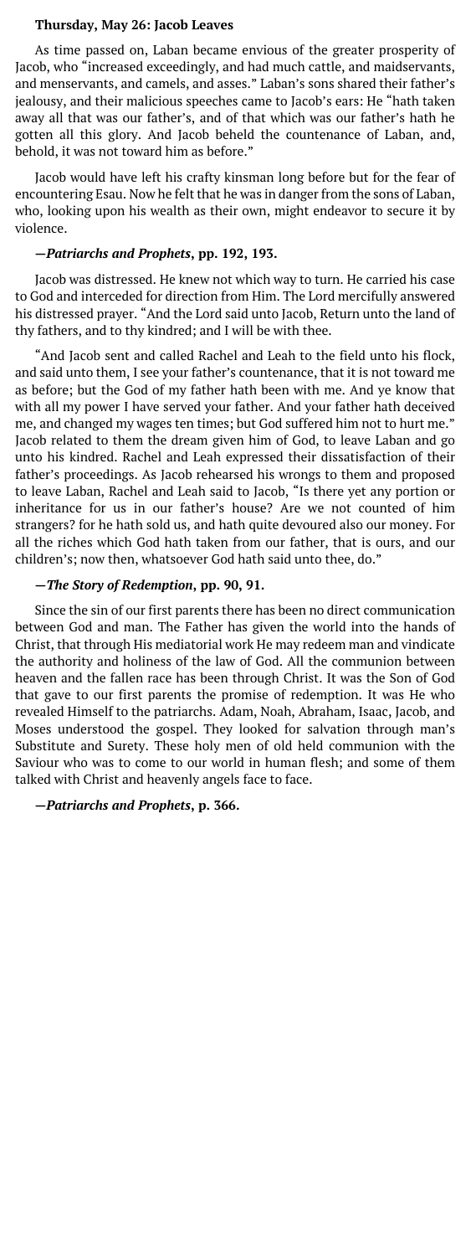#### **Thursday, May 26: Jacob Leaves**

As time passed on, Laban became envious of the greater prosperity of Jacob, who "increased exceedingly, and had much cattle, and maidservants, and menservants, and camels, and asses." Laban's sons shared their father's jealousy, and their malicious speeches came to Jacob's ears: He "hath taken away all that was our father's, and of that which was our father's hath he gotten all this glory. And Jacob beheld the countenance of Laban, and, behold, it was not toward him as before."

Jacob would have left his crafty kinsman long before but for the fear of encountering Esau. Now he felt that he was in danger from the sons of Laban, who, looking upon his wealth as their own, might endeavor to secure it by violence.

#### **—***Patriarchs and Prophets***, pp. 192, 193.**

Jacob was distressed. He knew not which way to turn. He carried his case to God and interceded for direction from Him. The Lord mercifully answered his distressed prayer. "And the Lord said unto Jacob, Return unto the land of thy fathers, and to thy kindred; and I will be with thee.

"And Jacob sent and called Rachel and Leah to the field unto his flock, and said unto them, I see your father's countenance, that it is not toward me as before; but the God of my father hath been with me. And ye know that with all my power I have served your father. And your father hath deceived me, and changed my wages ten times; but God suffered him not to hurt me." Jacob related to them the dream given him of God, to leave Laban and go unto his kindred. Rachel and Leah expressed their dissatisfaction of their father's proceedings. As Jacob rehearsed his wrongs to them and proposed to leave Laban, Rachel and Leah said to Jacob, "Is there yet any portion or inheritance for us in our father's house? Are we not counted of him strangers? for he hath sold us, and hath quite devoured also our money. For all the riches which God hath taken from our father, that is ours, and our children's; now then, whatsoever God hath said unto thee, do."

#### **—***The Story of Redemption***, pp. 90, 91.**

Since the sin of our first parents there has been no direct communication between God and man. The Father has given the world into the hands of Christ, that through His mediatorial work He may redeem man and vindicate the authority and holiness of the law of God. All the communion between heaven and the fallen race has been through Christ. It was the Son of God that gave to our first parents the promise of redemption. It was He who revealed Himself to the patriarchs. Adam, Noah, Abraham, Isaac, Jacob, and Moses understood the gospel. They looked for salvation through man's Substitute and Surety. These holy men of old held communion with the Saviour who was to come to our world in human flesh; and some of them talked with Christ and heavenly angels face to face.

**—***Patriarchs and Prophets***, p. 366.**